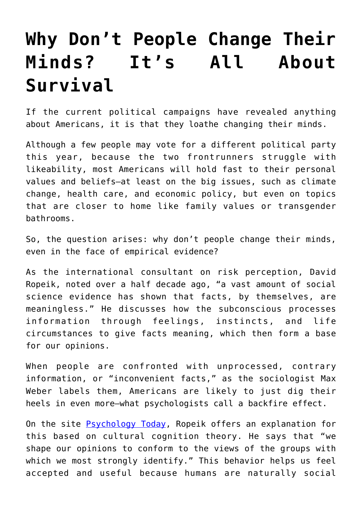## **[Why Don't People Change Their](https://intellectualtakeout.org/2016/04/why-dont-people-change-their-minds-its-all-about-survival/) [Minds? It's All About](https://intellectualtakeout.org/2016/04/why-dont-people-change-their-minds-its-all-about-survival/) [Survival](https://intellectualtakeout.org/2016/04/why-dont-people-change-their-minds-its-all-about-survival/)**

If the current political campaigns have revealed anything about Americans, it is that they loathe changing their minds.

Although a few people may vote for a different political party this year, because the two frontrunners struggle with likeability, most Americans will hold fast to their personal values and beliefs—at least on the big issues, such as climate change, health care, and economic policy, but even on topics that are closer to home like family values or transgender bathrooms.

So, the question arises: why don't people change their minds, even in the face of empirical evidence?

As the international consultant on risk perception, David Ropeik, noted over a half decade ago, "a vast amount of social science evidence has shown that facts, by themselves, are meaningless." He discusses how the subconscious processes information through feelings, instincts, and life circumstances to give facts meaning, which then form a base for our opinions.

When people are confronted with unprocessed, contrary information, or "inconvenient facts," as the sociologist Max Weber labels them, Americans are likely to just dig their heels in even more—what psychologists call a backfire effect.

On the site **Psychology Today**, Ropeik offers an explanation for this based on cultural cognition theory. He says that "we shape our opinions to conform to the views of the groups with which we most strongly identify." This behavior helps us feel accepted and useful because humans are naturally social